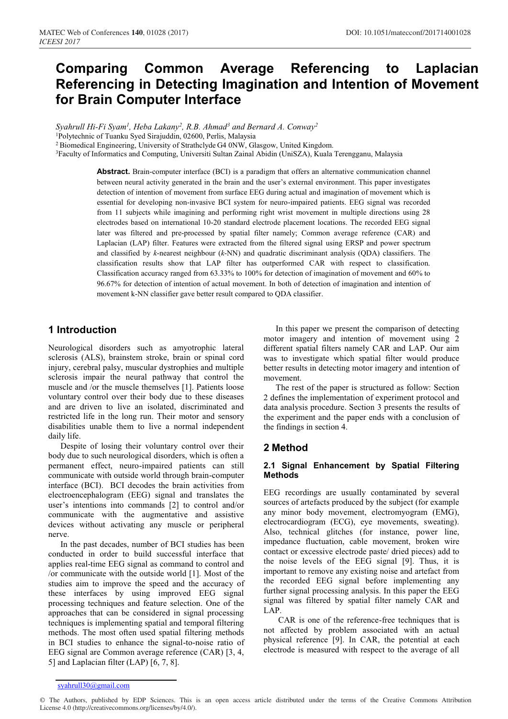# **Comparing Common Average Referencing to Laplacian Referencing in Detecting Imagination and Intention of Movement for Brain Computer Interface**

*Syahrull Hi-Fi Syam<sup>1</sup>, Heba Lakany<sup>2</sup>, R.B. Ahmad<sup>3</sup> and Bernard A. Conway<sup>2</sup><br><sup>1</sup>Polytechnic of Tuanku Syed Sirajuddin, 02600, Perlis, Malaysia* 

<sup>2</sup> Biomedical Engineering, University of Strathclyde G4 0NW, Glasgow, United Kingdom.<br><sup>3</sup>Faculty of Informatics and Computing, Universiti Sultan Zainal Abidin (UniSZA), Kuala Terengganu, Malaysia

**Abstract.** Brain-computer interface (BCI) is a paradigm that offers an alternative communication channel between neural activity generated in the brain and the user's external environment. This paper investigates detection of intention of movement from surface EEG during actual and imagination of movement which is essential for developing non-invasive BCI system for neuro-impaired patients. EEG signal was recorded from 11 subjects while imagining and performing right wrist movement in multiple directions using 28 electrodes based on international 10-20 standard electrode placement locations. The recorded EEG signal later was filtered and pre-processed by spatial filter namely; Common average reference (CAR) and Laplacian (LAP) filter. Features were extracted from the filtered signal using ERSP and power spectrum and classified by *k*-nearest neighbour (*k*-NN) and quadratic discriminant analysis (QDA) classifiers. The classification results show that LAP filter has outperformed CAR with respect to classification. Classification accuracy ranged from 63.33% to 100% for detection of imagination of movement and 60% to 96.67% for detection of intention of actual movement. In both of detection of imagination and intention of movement k-NN classifier gave better result compared to QDA classifier.

# **1 Introduction**

Neurological disorders such as amyotrophic lateral sclerosis (ALS), brainstem stroke, brain or spinal cord injury, cerebral palsy, muscular dystrophies and multiple sclerosis impair the neural pathway that control the muscle and /or the muscle themselves [1]. Patients loose voluntary control over their body due to these diseases and are driven to live an isolated, discriminated and restricted life in the long run. Their motor and sensory disabilities unable them to live a normal independent daily life.

Despite of losing their voluntary control over their body due to such neurological disorders, which is often a permanent effect, neuro-impaired patients can still communicate with outside world through brain-computer interface (BCI). BCI decodes the brain activities from electroencephalogram (EEG) signal and translates the user's intentions into commands [2] to control and/or communicate with the augmentative and assistive devices without activating any muscle or peripheral nerve.

In the past decades, number of BCI studies has been conducted in order to build successful interface that applies real-time EEG signal as command to control and /or communicate with the outside world [1]. Most of the studies aim to improve the speed and the accuracy of these interfaces by using improved EEG signal processing techniques and feature selection. One of the approaches that can be considered in signal processing techniques is implementing spatial and temporal filtering methods. The most often used spatial filtering methods in BCI studies to enhance the signal-to-noise ratio of EEG signal are Common average reference (CAR) [3, 4, 5] and Laplacian filter (LAP) [6, 7, 8].

In this paper we present the comparison of detecting motor imagery and intention of movement using 2 different spatial filters namely CAR and LAP. Our aim was to investigate which spatial filter would produce better results in detecting motor imagery and intention of movement.

The rest of the paper is structured as follow: Section 2 defines the implementation of experiment protocol and data analysis procedure. Section 3 presents the results of the experiment and the paper ends with a conclusion of the findings in section 4.

## **2 Method**

#### **2.1 Signal Enhancement by Spatial Filtering Methods**

EEG recordings are usually contaminated by several sources of artefacts produced by the subject (for example any minor body movement, electromyogram (EMG), electrocardiogram (ECG), eye movements, sweating). Also, technical glitches (for instance, power line, impedance fluctuation, cable movement, broken wire contact or excessive electrode paste/ dried pieces) add to the noise levels of the EEG signal [9]. Thus, it is important to remove any existing noise and artefact from the recorded EEG signal before implementing any further signal processing analysis. In this paper the EEG signal was filtered by spatial filter namely CAR and LAP.

 CAR is one of the reference-free techniques that is not affected by problem associated with an actual physical reference [9]. In CAR, the potential at each electrode is measured with respect to the average of all

syahrull30@gmail.com

<sup>©</sup> The Authors, published by EDP Sciences. This is an open access article distributed under the terms of the Creative Commons Attribution License 4.0 (http://creativecommons.org/licenses/by/4.0/).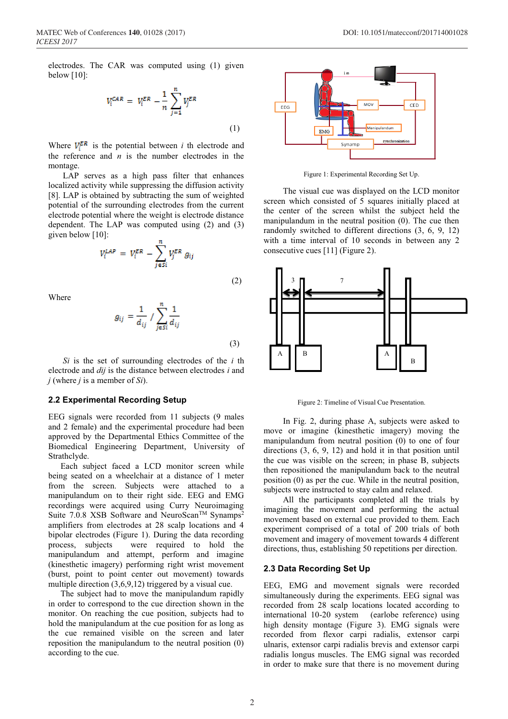$$
V_i^{CAR} = V_i^{ER} - \frac{1}{n} \sum_{j=1}^{n} V_j^{ER}
$$
\n(1)

Where  $V_i^{ER}$  is the potential between *i* th electrode and the reference and  $n$  is the number electrodes in the montage.

 LAP serves as a high pass filter that enhances localized activity while suppressing the diffusion activity [8]. LAP is obtained by subtracting the sum of weighted potential of the surrounding electrodes from the current electrode potential where the weight is electrode distance dependent. The LAP was computed using (2) and (3) given below [10]:

$$
V_i^{LAP} = V_i^{ER} - \sum_{j \in SI}^{n} V_j^{ER} g_{ij}
$$
\n(2)

Where

$$
g_{ij} = \frac{1}{d_{ij}} / \sum_{j \in SI}^{n} \frac{1}{d_{ij}}
$$
 (3)

*Si* is the set of surrounding electrodes of the *i* th electrode and *dij* is the distance between electrodes *i* and *j* (where *j* is a member of *Si*).

#### **2.2 Experimental Recording Setup**

EEG signals were recorded from 11 subjects (9 males and 2 female) and the experimental procedure had been approved by the Departmental Ethics Committee of the Biomedical Engineering Department, University of Strathclyde.

Each subject faced a LCD monitor screen while being seated on a wheelchair at a distance of 1 meter from the screen. Subjects were attached to a manipulandum on to their right side. EEG and EMG recordings were acquired using Curry Neuroimaging Suite 7.0.8 XSB Software and NeuroScan<sup>TM</sup> Synamps<sup>2</sup> amplifiers from electrodes at 28 scalp locations and 4 bipolar electrodes (Figure 1). During the data recording process, subjects were required to hold the manipulandum and attempt, perform and imagine (kinesthetic imagery) performing right wrist movement (burst, point to point center out movement) towards multiple direction  $(3,6,9,12)$  triggered by a visual cue.

The subject had to move the manipulandum rapidly in order to correspond to the cue direction shown in the monitor. On reaching the cue position, subjects had to hold the manipulandum at the cue position for as long as the cue remained visible on the screen and later reposition the manipulandum to the neutral position (0) according to the cue.



Figure 1: Experimental Recording Set Up.

The visual cue was displayed on the LCD monitor screen which consisted of 5 squares initially placed at the center of the screen whilst the subject held the manipulandum in the neutral position (0). The cue then randomly switched to different directions (3, 6, 9, 12) with a time interval of 10 seconds in between any 2 consecutive cues [11] (Figure 2).



Figure 2: Timeline of Visual Cue Presentation.

In Fig. 2, during phase A, subjects were asked to move or imagine (kinesthetic imagery) moving the manipulandum from neutral position (0) to one of four directions (3, 6, 9, 12) and hold it in that position until the cue was visible on the screen; in phase B, subjects then repositioned the manipulandum back to the neutral position (0) as per the cue. While in the neutral position, subjects were instructed to stay calm and relaxed.

All the participants completed all the trials by imagining the movement and performing the actual movement based on external cue provided to them. Each experiment comprised of a total of 200 trials of both movement and imagery of movement towards 4 different directions, thus, establishing 50 repetitions per direction.

#### **2.3 Data Recording Set Up**

EEG, EMG and movement signals were recorded simultaneously during the experiments. EEG signal was recorded from 28 scalp locations located according to international 10-20 system (earlobe reference) using high density montage (Figure 3). EMG signals were recorded from flexor carpi radialis, extensor carpi ulnaris, extensor carpi radialis brevis and extensor carpi radialis longus muscles. The EMG signal was recorded in order to make sure that there is no movement during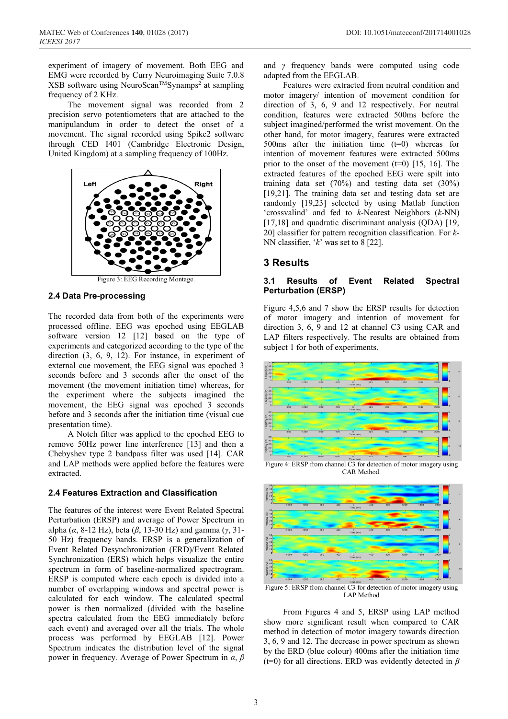experiment of imagery of movement. Both EEG and EMG were recorded by Curry Neuroimaging Suite 7.0.8 XSB software using NeuroScan™Synamps<sup>2</sup> at sampling frequency of 2 KHz.

The movement signal was recorded from 2 precision servo potentiometers that are attached to the manipulandum in order to detect the onset of a movement. The signal recorded using Spike2 software through CED I401 (Cambridge Electronic Design, United Kingdom) at a sampling frequency of 100Hz.



Figure 3: EEG Recording Montage.

#### **2.4 Data Pre-processing**

The recorded data from both of the experiments were processed offline. EEG was epoched using EEGLAB software version 12 [12] based on the type of experiments and categorized according to the type of the direction (3, 6, 9, 12). For instance, in experiment of external cue movement, the EEG signal was epoched 3 seconds before and 3 seconds after the onset of the movement (the movement initiation time) whereas, for the experiment where the subjects imagined the movement, the EEG signal was epoched 3 seconds before and 3 seconds after the initiation time (visual cue presentation time).

A Notch filter was applied to the epoched EEG to remove 50Hz power line interference [13] and then a Chebyshev type 2 bandpass filter was used [14]. CAR and LAP methods were applied before the features were extracted.

#### **2.4 Features Extraction and Classification**

The features of the interest were Event Related Spectral Perturbation (ERSP) and average of Power Spectrum in alpha (*α*, 8-12 Hz), beta (*β*, 13-30 Hz) and gamma (*γ*, 31- 50 Hz) frequency bands. ERSP is a generalization of Event Related Desynchronization (ERD)/Event Related Synchronization (ERS) which helps visualize the entire spectrum in form of baseline-normalized spectrogram. ERSP is computed where each epoch is divided into a number of overlapping windows and spectral power is calculated for each window. The calculated spectral power is then normalized (divided with the baseline spectra calculated from the EEG immediately before each event) and averaged over all the trials. The whole process was performed by EEGLAB [12]. Power Spectrum indicates the distribution level of the signal power in frequency. Average of Power Spectrum in *α*, *β*

and *γ* frequency bands were computed using code adapted from the EEGLAB.

Features were extracted from neutral condition and motor imagery/ intention of movement condition for direction of 3, 6, 9 and 12 respectively. For neutral condition, features were extracted 500ms before the subject imagined/performed the wrist movement. On the other hand, for motor imagery, features were extracted 500ms after the initiation time  $(t=0)$  whereas for intention of movement features were extracted 500ms prior to the onset of the movement  $(t=0)$  [15, 16]. The extracted features of the epoched EEG were spilt into training data set (70%) and testing data set (30%) [19,21]. The training data set and testing data set are randomly [19,23] selected by using Matlab function 'crossvalind' and fed to *k*-Nearest Neighbors (*k*-NN) [17,18] and quadratic discriminant analysis (ODA) [19, 20] classifier for pattern recognition classification. For *k*-NN classifier, '*k*' was set to 8 [22].

### **3 Results**

#### **3.1 Results of Event Related Spectral Perturbation (ERSP)**

Figure 4,5,6 and 7 show the ERSP results for detection of motor imagery and intention of movement for direction 3, 6, 9 and 12 at channel C3 using CAR and LAP filters respectively. The results are obtained from subject 1 for both of experiments.



Figure 4: ERSP from channel C3 for detection of motor imagery using CAR Method.



LAP Method

From Figures 4 and 5, ERSP using LAP method show more significant result when compared to CAR method in detection of motor imagery towards direction 3, 6, 9 and 12. The decrease in power spectrum as shown by the ERD (blue colour) 400ms after the initiation time (t=0) for all directions. ERD was evidently detected in *β*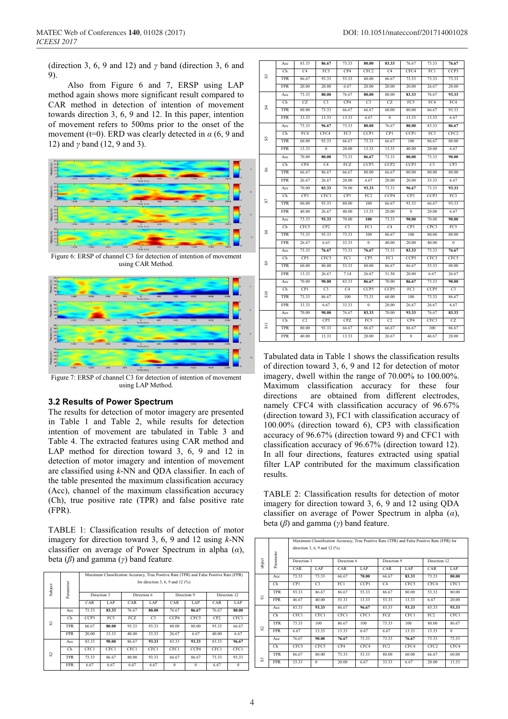(direction 3, 6, 9 and 12) and *γ* band (direction 3, 6 and 9).

Also from Figure 6 and 7, ERSP using LAP method again shows more significant result compared to CAR method in detection of intention of movement towards direction 3, 6, 9 and 12. In this paper, intention of movement refers to 500ms prior to the onset of the movement (t=0). ERD was clearly detected in  $\alpha$  (6, 9 and 12) and *γ* band (12, 9 and 3).



Figure 6: ERSP of channel C3 for detection of intention of movement using CAR Method.



Figure 7: ERSP of channel C3 for detection of intention of movement using LAP Method.

#### **3.2 Results of Power Spectrum**

The results for detection of motor imagery are presented in Table 1 and Table 2, while results for detection intention of movement are tabulated in Table 3 and Table 4. The extracted features using CAR method and LAP method for direction toward 3, 6, 9 and 12 in detection of motor imagery and intention of movement are classified using *k*-NN and QDA classifier. In each of the table presented the maximum classification accuracy (Acc), channel of the maximum classification accuracy (Ch), true positive rate (TPR) and false positive rate (FPR).

TABLE 1: Classification results of detection of motor imagery for direction toward 3, 6, 9 and 12 using *k*-NN classifier on average of Power Spectrum in alpha (*α*), beta (*β*) and gamma (*γ*) band feature.

|         |            | Maximum Classification Accuracy, True Positive Rate (TPR) and False Positive Rate (FPR) |       |             |                |             |          |              |          |  |  |
|---------|------------|-----------------------------------------------------------------------------------------|-------|-------------|----------------|-------------|----------|--------------|----------|--|--|
| Subject | Parameter  | for direction 3, 6, 9 and 12 $(%)$                                                      |       |             |                |             |          |              |          |  |  |
|         |            | Direction 3                                                                             |       | Direction 6 |                | Direction 9 |          | Direction 12 |          |  |  |
|         |            | CAR                                                                                     | LAP   | CAR         | LAP            | CAR         | LAP      | CAR          | LAP      |  |  |
|         | Acc        | 73.33                                                                                   | 83.33 | 76.67       | 80.00          | 76.67       | 86.67    | 76.67        | 80.00    |  |  |
|         | Ch         | CCP3                                                                                    | FC5   | FCZ         | C <sub>3</sub> | CCP4        | CFC5     | CP2          | CFC1     |  |  |
| 5       | TPR        | 66.67                                                                                   | 80.00 | 93.33       | 93.33          | 80.00       | 80.00    | 93.33        | 66.67    |  |  |
|         | <b>FPR</b> | 20.00                                                                                   | 13.33 | 40.00       | 33.33          | 26.67       | 6.67     | 40.00        | 6.67     |  |  |
|         | Acc        | 83.33                                                                                   | 90.00 | 86.67       | 93.33          | 83.33       | 93.33    | 83.33        | 96.67    |  |  |
|         | Ch         | CFC1                                                                                    | CFC1  | CFC1        | CFC1           | CFC1        | CCP4     | CFC1         | CFC1     |  |  |
| S       | TPR        | 73.33                                                                                   | 86.67 | 80.00       | 93.33          | 66.67       | 86.67    | 73.33        | 93.33    |  |  |
|         | <b>FPR</b> | 6.67                                                                                    | 6.67  | 6.67        | 6.67           | $\Omega$    | $\Omega$ | 6.67         | $\theta$ |  |  |

|                 | Acc        | 83.33           | 86.67           | 73.33          | 80.00            | 83.33            | 76.67          | 73.33          | 76.67            |
|-----------------|------------|-----------------|-----------------|----------------|------------------|------------------|----------------|----------------|------------------|
|                 | Ch         | C <sub>4</sub>  | FC5             | CP4            | CFC <sub>2</sub> | C4               | CFC4           | FC1            | CCP3             |
| S               | <b>TPR</b> | 86.67           | 93.33           | 53.33          | 80.00            | 86.67            | 73.33          | 73.33          | 73.33            |
|                 | <b>FPR</b> | 20.00           | 20.00           | 6.67           | 20.00            | 20.00            | 20.00          | 26.67          | 20.00            |
|                 | Acc        | 73.33           | 80.00           | 76.67          | 80.00            | 80.00            | 83.33          | 76.67          | 93.33            |
|                 | Ch         | CZ              | C <sub>3</sub>  | CP4            | C <sub>3</sub>   | CZ               | FC5            | FC4            | FC4              |
| ऊ               | <b>TPR</b> | 80.00           | 73.33           | 66.67          | 66.67            | 60.00            | 80.00          | 66.67          | 93.33            |
|                 | <b>FPR</b> | 33.33           | 13.33           | 13.33          | 6.67             | $\boldsymbol{0}$ | 13.33          | 13.33          | 6.67             |
|                 | Acc        | 73.33           | 96.67           | 73.33          | 80.00            | 76.67            | 80.00          | 83.33          | 86.67            |
|                 | Ch         | FC4             | CFC4            | FC3            | <b>CCP1</b>      | <b>CP1</b>       | <b>CCP1</b>    | FC3            | CFC <sub>2</sub> |
| SS              | <b>TPR</b> | 60.00           | 93.33           | 66.67          | 73.33            | 66.67            | 100            | 86.67          | 80.00            |
|                 | <b>FPR</b> | 13.33           | $\mathbf{0}$    | 20.00          | 13.33            | 13.33            | 40.00          | 20.00          | 6.67             |
|                 | Acc        | 70.00           | 80.00           | 73.33          | 86.67            | 73.33            | 80.00          | 73.33          | 90.00            |
|                 | Ch         | CP4             | C4              | FCZ            | CCP3             | CCP <sub>2</sub> | CCP3           | C <sub>3</sub> | CP3              |
| $^{86}$         | TPR        | 66.67           | 86.67           | 66.67          | 80.00            | 66.67            | 80.00          | 80.00          | 80.00            |
|                 | <b>FPR</b> | 26.67           | 26.67           | 20.00          | 6.67             | 20.00            | 20.00          | 33.33          | 6.67             |
|                 | Acc        | 70.00           | 83.33           | 70.00          | 93.33            | 73.33            | 96.67          | 73.33          | 93.33            |
|                 | Ch         | CP3             | CFC3            | CP3            | FC2              | CCP4             | CP3            | CCP3           | FC3              |
| 2               | <b>TPR</b> | 80.00           | 93.33           | 80.00          | 100              | 66.67            | 93.33          | 66.67          | 93.33            |
|                 | <b>FPR</b> | 40.00           | 26.67           | 40.00          | 13.33            | 20.00            | $\mathbf{0}$   | 20.00          | 6.67             |
|                 | Acc        | 73.33           | 93.33           | 70.00          | 100              | 73.33            | 90.00          | 70.00          | 90.00            |
| $^{88}$         | Ch         | CFC5            | CP <sub>2</sub> | C <sub>3</sub> | FC1              | C4               | CP3            | CPC3           | FC5              |
|                 | <b>TPR</b> | 73.33           | 93.33           | 73.33          | 100              | 86.67            | 100            | 80.00          | 80.00            |
|                 | <b>FPR</b> | 26.67           | 6.63            | 33.33          | $\overline{0}$   | 40.00            | 20.00          | 40.00          | $\overline{0}$   |
|                 | Acc        | 73.33           | 76.67           | 73.33          | 76.67            | 73.33            | 83.33          | 73.33          | 76.67            |
|                 | Ch         | CP <sub>5</sub> | CFC5            | FC1            | CP <sub>5</sub>  | FC1              | CCP5           | CFC3           | CFC5             |
| ೫               | <b>TPR</b> | 60.00           | 80.00           | 53.33          | 80.00            | 86.67            | 86.67          | 53.33          | 80.00            |
|                 | <b>FPR</b> | 13.33           | 26.67           | 7.14           | 26.67            | 31.58            | 20.00          | 6.67           | 26.67            |
|                 | Acc        | 70.00           | 90.00           | 83.33          | 86.67            | 70.00            | 86.67          | 73.33          | 90.00            |
|                 | Ch         | <b>CPI</b>      | C <sub>3</sub>  | C <sub>4</sub> | CCP5             | CCP5             | FC3            | CCP5           | C <sub>3</sub>   |
| S <sub>10</sub> | <b>TPR</b> | 73.33           | 86.67           | 100            | 73.33            | 60.00            | 100            | 73.33          | 86.67            |
|                 | <b>FPR</b> | 33.33           | 6.67            | 33.33          | $\overline{0}$   | 20.00            | 26.67          | 26.67          | 6.67             |
|                 | Acc        | 70.00           | 90.00           | 76.67          | 83.33            | 70.00            | 93.33          | 76.67          | 83.33            |
|                 | Ch         | C2              | CP5             | CPZ            | FC5              | C2               | CP4            | CFC3           | CZ               |
| $\overline{5}$  | <b>TPR</b> | 80.00           | 93.33           | 66.67          | 86.67            | 66.67            | 86.67          | 100            | 86.67            |
|                 | <b>FPR</b> | 40.00           | 13.33           | 13.33          | 20.00            | 26.67            | $\overline{0}$ | 46.67          | 20.00            |

Tabulated data in Table 1 shows the classification results of direction toward 3, 6, 9 and 12 for detection of motor imagery, dwell within the range of 70.00% to 100.00%. Maximum classification accuracy for these four directions are obtained from different electrodes, namely CFC4 with classification accuracy of 96.67% (direction toward 3), FC1 with classification accuracy of 100.00% (direction toward 6), CP3 with classification accuracy of 96.67% (direction toward 9) and CFC1 with classification accuracy of 96.67% (direction toward 12). In all four directions, features extracted using spatial filter LAP contributed for the maximum classification results.

TABLE 2: Classification results for detection of motor imagery for direction toward 3, 6, 9 and 12 using QDA classifier on average of Power Spectrum in alpha (*α*), beta (*β*) and gamma (*γ*) band feature.

|                |            | Maximum Classification Accuracy, True Positive Rate (TPR) and False Positive Rate (FPR) for<br>direction 3, 6, 9 and 12 $(%)$ |                |             |             |                |             |                  |          |  |  |
|----------------|------------|-------------------------------------------------------------------------------------------------------------------------------|----------------|-------------|-------------|----------------|-------------|------------------|----------|--|--|
|                | Parameter  |                                                                                                                               |                |             |             |                |             |                  |          |  |  |
| ubject         |            | Direction 3                                                                                                                   |                |             | Direction 6 |                | Direction 9 | Direction 12     |          |  |  |
|                |            | CAR                                                                                                                           | LAP            | CAR         | LAP         | CAR            | LAP         | CAR              | LAP      |  |  |
|                | Acc        | 73.33                                                                                                                         | 73.33          | 66.67       | 70.00       | 66.67          | 83.33       | 73.33            | 80.00    |  |  |
|                | Ch         | CP1                                                                                                                           | C <sub>3</sub> | FC1         | CCP1        | C <sub>4</sub> | CFC5        | CFC4             | CFC1     |  |  |
|                | TPR        | 93.33                                                                                                                         | 86.67          | 86.67       | 53.33       | 86.67          | 80.00       | 53.33            | 80.00    |  |  |
| 5              | <b>FPR</b> | 46.67                                                                                                                         | 40.00          | 53.33       | 13.33       | 53.33          | 13.33       | 6.67             | 20.00    |  |  |
|                | Acc        | 83.33                                                                                                                         | 93.33          | 86.67       | 96.67       | 83.33          | 93.33       | 83.33            | 93.33    |  |  |
|                | Ch         | CFC1                                                                                                                          | CFC1           | <b>CFC1</b> | <b>CFC1</b> | FCZ            | CFC1        | FC2              | CFC1     |  |  |
|                | <b>TPR</b> | 73.33                                                                                                                         | 100            | 86.67       | 100         | 73.33          | 100         | 80.00            | 86.67    |  |  |
| S <sub>2</sub> | <b>FPR</b> | 6.67                                                                                                                          | 13.33          | 13.33       | 6.67        | 6.67           | 13.33       | 13.33            | $\theta$ |  |  |
|                | Acc        | 76.67                                                                                                                         | 90.00          | 76.67       | 73.33       | 73.33          | 76.67       | 73.33            | 73.33    |  |  |
|                | Ch         | CFC5                                                                                                                          | CFC5           | CP4         | CFC4        | FC2            | CFC4        | CFC <sub>2</sub> | CFC4     |  |  |
|                | <b>TPR</b> | 86.67                                                                                                                         | 80.00          | 73.33       | 53.33       | 80.00          | 60.00       | 66.67            | 60.00    |  |  |
| s              | <b>FPR</b> | 33.33                                                                                                                         | $\Omega$       | 20.00       | 6.67        | 33.33          | 6.67        | 20.00            | 13.33    |  |  |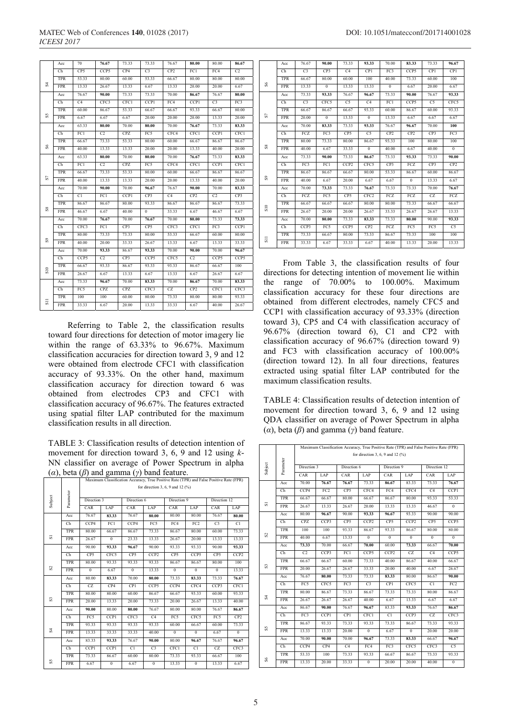|               | Acc               | 70              | 76.67          | 73.33       | 73.33            | 76.67          | 80.00          | 80.00          | 86.67           |
|---------------|-------------------|-----------------|----------------|-------------|------------------|----------------|----------------|----------------|-----------------|
|               | Ch                | CP <sub>5</sub> | CCP5           | CP4         | C3               | CP2            | FC1            | FC4            | C <sub>2</sub>  |
|               | <b>TPR</b>        | 53.33           | 80.00          | 60.00       | 53.33            | 66.67          | 80.00          | 80.00          | 80.00           |
| S,            | <b>FPR</b>        | 13.33           | 26.67          | 13.33       | 6.67             | 13.33          | 20.00          | 20.00          | 6.67            |
|               | Acc               | 76.67           | 90.00          | 73.33       | 73.33            | 70.00          | 86.67          | 76.67          | 80.00           |
|               | Ch                | C <sub>4</sub>  | CFC3           | CFC1        | CCP1             | FC4            | CCP1           | C <sub>3</sub> | FC3             |
|               | <b>TPR</b>        | 60.00           | 86.67          | 53.33       | 66.67            | 66.67          | 93.33          | 66.67          | 80.00           |
| SS            | <b>FPR</b>        | 6.67            | 6.67           | 6.67        | 20.00            | 20.00          | 20.00          | 13.33          | 20.00           |
|               | Acc               | 63.33           | 80.00          | 70.00       | 80.00            | 70.00          | 76.67          | 73.33          | 83.33           |
|               | Ch                | FC1             | C <sub>2</sub> | <b>CPZ</b>  | FC5              | CFC4           | CFC1           | CCP1           | <b>CFC1</b>     |
|               | <b>TPR</b>        | 66.67           | 73.33          | 53.33       | 80.00            | 60.00          | 66.67          | 86.67          | 86.67           |
| S6            | <b>FPR</b>        | 40.00           | 13.33          | 13.33       | 20.00            | 20.00          | 13.33          | 40.00          | 20.00           |
|               | Acc               | 63.33           | 80.00          | 70.00       | 80.00            | 70.00          | 76.67          | 73.33          | 83.33           |
|               | Ch                | FC1             | C <sub>2</sub> | <b>CPZ</b>  | FC5              | CFC4           | CFC1           | CCP1           | CFC1            |
|               | <b>TPR</b>        | 66.67           | 73.33          | 53.33       | 80.00            | 60.00          | 66.67          | 86.67          | 86.67           |
| 岛             | <b>FPR</b>        | 40.00           | 13.33          | 13.33       | 20.00            | 20.00          | 13.33          | 40.00          | 20.00           |
|               | Acc               | 70.00           | 90.00          | 70.00       | 96.67            | 76.67          | 90.00          | 70.00          | 83.33           |
|               | Ch                | C <sub>1</sub>  | FC1            | <b>CCP1</b> | CP <sub>3</sub>  | C <sub>4</sub> | CP2            | C <sub>2</sub> | CP <sub>3</sub> |
|               |                   |                 |                |             |                  |                |                |                |                 |
|               | <b>TPR</b>        | 86.67           | 86.67          | 80.00       | 93.33            | 86.67          | 86.67          | 86.67          | 73.33           |
| S8            | <b>FPR</b>        | 46.67           | 6.67           | 40.00       | $\mathbf{0}$     | 33.33          | 6.67           | 46.67          | 6.67            |
|               | Acc               | 70.00           | 76.67          | 70.00       | 76.67            | 70.00          | 80.00          | 73.33          | 73.33           |
|               | Ch                | CFC3            | FC1            | CP3         | CP5              | CFC3           | CFC1           | FC3            | CCP1            |
|               | <b>TPR</b>        | 80.00           | 73.33          | 73.33       | 80.00            | 53.33          | 66.67          | 60.00          | 80.00           |
| $\frac{5}{2}$ | <b>FPR</b>        | 40.00           | 20.00          | 33.33       | 26.67            | 13.33          | 6.67           | 13.33          | 33.33           |
|               | $_{\mathrm{Acc}}$ | 70.00           | 93.33          | 86.67       | 93.33            | 70.00          | 90.00          | 70.00          | 96.67           |
|               | Ch                | CCP5            | C <sub>2</sub> | CP3         | CCP5             | CFC5           | C <sub>2</sub> | CCP5           | CCP5            |
|               | <b>TPR</b>        | 66.67           | 93.33          | 86.67       | 93.33            | 93.33          | 86.67          | 66.67          | 100             |
| S10           | <b>FPR</b>        | 26.67           | 6.67           | 13.33       | 6.67             | 13.33          | 6.67           | 26.67          | 6.67            |
|               | Acc               | 73.33           | 96.67          | 70.00       | 83.33            | 70.00          | 86.67          | 70.00          | 83.33           |
|               | Ch                | FC5             | <b>CPZ</b>     | <b>CPZ</b>  | CFC <sub>3</sub> | CZ             | CP2            | <b>CFC1</b>    | CFC3            |
| 5             | TPR               | 100             | 100            | 60.00       | 80.00            | 73.33          | 80.00          | 80.00          | 93.33           |

Referring to Table 2, the classification results toward four directions for detection of motor imagery lie within the range of 63.33% to 96.67%. Maximum classification accuracies for direction toward 3, 9 and 12 were obtained from electrode CFC1 with classification accuracy of 93.33%. On the other hand, maximum classification accuracy for direction toward 6 was obtained from electrodes CP3 and CFC1 with classification accuracy of 96.67%. The features extracted using spatial filter LAP contributed for the maximum classification results in all direction.

TABLE 3: Classification results of detection intention of movement for direction toward 3, 6, 9 and 12 using *k*-NN classifier on average of Power Spectrum in alpha (*α*), beta (*β*) and gamma (*γ*) band feature.

| ヽー・ノフ   |            | $\frac{1}{2}$<br>Maximum Classification Accuracy, True Positive Rate (TPR) and False Positive Rate (FPR) |                |                 |                  |                |                 |                  |                  |  |  |
|---------|------------|----------------------------------------------------------------------------------------------------------|----------------|-----------------|------------------|----------------|-----------------|------------------|------------------|--|--|
|         |            | for direction 3, 6, 9 and 12 $(%)$                                                                       |                |                 |                  |                |                 |                  |                  |  |  |
| Subject | Parameter  | Direction 3                                                                                              |                | Direction 6     | Direction 9      |                |                 | Direction 12     |                  |  |  |
|         |            | CAR                                                                                                      | LAP            | CAR             | LAP              | CAR            | LAP             | CAR              | LAP              |  |  |
|         | Acc        | 76.67                                                                                                    | 83.33          | 76.67           | 80.00            | 80.00          | 80.00           | 76.67            | 80.00            |  |  |
|         | Ch         | CCP4                                                                                                     | FC1            | CCP4            | FC5              | FC4            | FC <sub>2</sub> | C <sub>3</sub>   | C1               |  |  |
|         | <b>TPR</b> | 80.00                                                                                                    | 66.67          | 86.67           | 73.33            | 86.67          | 80.00           | 60.00            | 73.33            |  |  |
| 5       | <b>FPR</b> | 26.67                                                                                                    | $\Omega$       | 23.33           | 13.33            | 26.67          | 20.00           | 13.33            | 13.33            |  |  |
|         | Acc        | 90.00                                                                                                    | 93.33          | 96.67           | 90.00            | 93.33          | 93.33           | 90.00            | 93.33            |  |  |
|         | Ch         | CP5                                                                                                      | CFC5           | CP <sub>5</sub> | CCP <sub>2</sub> | CP5            | CCP5            | CP <sub>5</sub>  | CCP <sub>2</sub> |  |  |
|         | TPR        | 80.00                                                                                                    | 93.33          | 93.33           | 93.33            | 86.67          | 86.67           | 80.00            | 100              |  |  |
| S       | <b>FPR</b> | $\overline{0}$                                                                                           | 6.67           | $\overline{0}$  | 13.33            | $\overline{0}$ | $\overline{0}$  | $\overline{0}$   | 13.33            |  |  |
|         | Acc        | 80.00                                                                                                    | 83.33          | 70.00           | 80.00            | 73.33          | 83.33           | 73.33            | 76.67            |  |  |
|         | Ch         | CZ                                                                                                       | CP4            | CP1             | CCP5             | CCP4           | CFC4            | CCP <sub>3</sub> | CFC1             |  |  |
|         | TPR        | 80.00                                                                                                    | 80.00          | 60.00           | 86.67            | 66.67          | 93.33           | 60.00            | 93.33            |  |  |
| S       | <b>FPR</b> | 20.00                                                                                                    | 13.33          | 20.00           | 73.33            | 20.00          | 26.67           | 13.33            | 40.00            |  |  |
|         | Acc        | 90.00                                                                                                    | 80.00          | 80.00           | 76.67            | 80.00          | 80.00           | 76.67            | 86.67            |  |  |
|         | Ch         | FC5                                                                                                      | CCP1           | CFC3            | C <sub>4</sub>   | FC5            | CFC5            | FC5              | CP2              |  |  |
|         | <b>TPR</b> | 93.33                                                                                                    | 93.33          | 93.33           | 93.33            | 60.00          | 66.67           | 60.00            | 73.33            |  |  |
| ¥       | <b>FPR</b> | 13.33                                                                                                    | 33.33          | 33.33           | 40.00            | $\Omega$       | $\mathbf{0}$    | 6.67             | $\theta$         |  |  |
|         | Acc        | 83.33                                                                                                    | 93.33          | 76.67           | 90.00            | 80.00          | 96.67           | 76.67            | 96.67            |  |  |
|         | Ch         | CCP1                                                                                                     | CCP1           | C1              | C <sub>3</sub>   | <b>CFC1</b>    | C1              | CZ               | CFC <sub>3</sub> |  |  |
|         | <b>TPR</b> | 73.33                                                                                                    | 86.67          | 60.00           | 80.00            | 73.33          | 93.33           | 66.67            | 100              |  |  |
| SS      | <b>FPR</b> | 6.67                                                                                                     | $\overline{0}$ | 6.67            | $\overline{0}$   | 13.33          | $\overline{0}$  | 13.33            | 6.67             |  |  |

|                  | Acc        | 76.67          | 90.00          | 73.33            | 93.33            | 70.00          | 83.33            | 73.33           | 96.67          |
|------------------|------------|----------------|----------------|------------------|------------------|----------------|------------------|-----------------|----------------|
|                  | Ch         | C <sub>3</sub> | CP3            | C4               | CP1              | FC3            | CCP5             | CP1             | CP1            |
|                  | <b>TPR</b> | 66.67          | 80.00          | 60.00            | 100              | 40.00          | 73.33            | 60.00           | 100            |
| $^{86}$          | <b>FPR</b> | 13.33          | $\overline{0}$ | 13.33            | 13.33            | $\overline{0}$ | 6.67             | 20.00           | 6.67           |
|                  | Acc        | 73.33          | 93.33          | 76.67            | 96.67            | 73.33          | 90.00            | 76.67           | 93.33          |
|                  | Ch         | C <sub>3</sub> | CFC5           | C5               | C <sub>4</sub>   | FC1            | CCP <sub>5</sub> | C <sub>5</sub>  | CFC5           |
|                  | <b>TPR</b> | 66.67          | 86.67          | 66.67            | 93.33            | 60.00          | 86.67            | 60.00           | 93.33          |
| S7               | <b>FPR</b> | 20.00          | $\Omega$       | 13.33            | $\theta$         | 13.33          | 6.67             | 6.67            | 6.67           |
|                  | Acc        | 70.00          | 83.33          | 73.33            | 93.33            | 76.67          | 96.67            | 70.00           | 100            |
|                  | Ch         | FCZ            | FC3            | CP <sub>5</sub>  | C5               | CP2            | CP2              | CP3             | FC3            |
|                  | <b>TPR</b> | 80.00          | 73.33          | 80.00            | 86.67            | 93.33          | 100              | 80.00           | 100            |
| ${}^{8}$         | <b>FPR</b> | 40.00          | 6.67           | 33.33            | $\overline{0}$   | 40.00          | 6.67             | 40.00           | $\overline{0}$ |
|                  | Acc        | 73.33          | 90.00          | 73.33            | 86.67            | 73.33          | 93.33            | 73.33           | 90.00          |
|                  | Ch         | FC3            | FC1            | CCP <sub>2</sub> | CFC5             | CP3            | FCZ              | CP <sub>3</sub> | CP2            |
|                  | <b>TPR</b> | 86.67          | 86.67          | 66.67            | 80.00            | 53.33          | 86.67            | 60.00           | 86.67          |
| S)               | <b>FPR</b> | 40.00          | 6.67           | 20.00            | 6.67             | 6.67           | $\Omega$         | 13.33           | 6.67           |
|                  | Acc        | 70.00          | 73.33          | 73.33            | 76.67            | 73.33          | 73.33            | 70.00           | 76.67          |
|                  | Ch         | FCZ            | FC5            | CP5              | CFC <sub>2</sub> | FCZ            | FCZ              | CZ              | FCZ            |
| $\overline{510}$ | <b>TPR</b> | 66.67          | 66.67          | 66.67            | 80.00            | 80.00          | 73.33            | 66.67           | 66.67          |
|                  | <b>FPR</b> | 26.67          | 20.00          | 20.00            | 26.67            | 33.33          | 26.67            | 26.67           | 13.33          |
|                  | Acc        | 70.00          | 80.00          | 73.33            | 83.33            | 73.33          | 80.00            | 90.00           | 93.33          |
|                  | Ch         | CCP3           | FC5            | CCP5             | CP <sub>2</sub>  | FCZ            | FC5              | FC5             | C <sub>5</sub> |
| $\overline{5}$   | <b>TPR</b> | 73.33          | 66.67          | 80.00            | 73.33            | 86.67          | 73.33            | 100             | 100            |
|                  | <b>FPR</b> | 33.33          | 6.67           | 33.33            | 6.67             | 40.00          | 13.33            | 20.00           | 13.33          |

From Table 3, the classification results of four directions for detecting intention of movement lie within the range of 70.00% to 100.00%. Maximum classification accuracy for these four directions are obtained from different electrodes, namely CFC5 and CCP1 with classification accuracy of 93.33% (direction toward 3), CP5 and C4 with classification accuracy of 96.67% (direction toward 6), C1 and CP2 with classification accuracy of 96.67% (direction toward 9) and FC3 with classification accuracy of 100.00% (direction toward 12). In all four directions, features extracted using spatial filter LAP contributed for the maximum classification results.

TABLE 4: Classification results of detection intention of movement for direction toward 3, 6, 9 and 12 using QDA classifier on average of Power Spectrum in alpha (*α*), beta (*β*) and gamma (*γ*) band feature.

|         |            |                                    |                  |                |                  | Maximum Classification Accuracy, True Positive Rate (TPR) and False Positive Rate (FPR) |                  |                |                |  |  |
|---------|------------|------------------------------------|------------------|----------------|------------------|-----------------------------------------------------------------------------------------|------------------|----------------|----------------|--|--|
|         | Parameter  | for direction 3, 6, 9 and 12 $(%)$ |                  |                |                  |                                                                                         |                  |                |                |  |  |
| Subject |            | Direction 3                        |                  | Direction 6    |                  | Direction 9                                                                             |                  | Direction 12   |                |  |  |
|         |            | CAR                                | LAP              | CAR            | LAP              | CAR                                                                                     | LAP              | CAR            | LAP            |  |  |
|         | Acc        | 70.00                              | 76.67            | 76.67          | 73.33            | 86.67                                                                                   | 83.33            | 73.33          | 76.67          |  |  |
|         | Ch         | CCP4                               | FC2              | CP5            | CFC4             | FC4                                                                                     | CFC4             | C <sub>4</sub> | <b>CCP1</b>    |  |  |
|         | <b>TPR</b> | 66.67                              | 66.67            | 80.00          | 66.67            | 86.67                                                                                   | 80.00            | 93.33          | 53.33          |  |  |
| s       | <b>FPR</b> | 26.67                              | 13.33            | 26.67          | 20.00            | 13.33                                                                                   | 13.33            | 46.67          | $\Omega$       |  |  |
|         | Acc        | 80.00                              | 96.67            | 90.00          | 93.33            | 96.67                                                                                   | 93.33            | 90.00          | 90.00          |  |  |
|         | Ch         | <b>CPZ</b>                         | CCP3             | CP5            | CCP <sub>2</sub> | CP5                                                                                     | CCP <sub>2</sub> | CP5            | CCP5           |  |  |
|         | <b>TPR</b> | 100                                | 100              | 93.33          | 86.67            | 93.33                                                                                   | 86.67            | 80.00          | 80.00          |  |  |
| $^{2}$  | <b>FPR</b> | 40.00                              | 6.67             | 13.33          | $\Omega$         | $\Omega$                                                                                | $\theta$         | $\theta$       | $\Omega$       |  |  |
|         | Acc        | 73.33                              | 70.00            | 66.67          | 70.00            | 60.00                                                                                   | 73.33            | 66.67          | 70.00          |  |  |
|         | Ch         | C <sub>2</sub>                     | CCP <sub>3</sub> | FC1            | CCP <sub>5</sub> | CCP <sub>2</sub>                                                                        | CZ.              | C4             | CCP5           |  |  |
|         | <b>TPR</b> | 66.67                              | 66.67            | 60.00          | 73.33            | 40.00                                                                                   | 86.67            | 40.00          | 66.67          |  |  |
| S       | <b>FPR</b> | 20.00                              | 26.67            | 26.67          | 33.33            | 20.00                                                                                   | 40.00            | 6.67           | 26.67          |  |  |
|         | Acc        | 76.67                              | 80.00            | 73.33          | 73.33            | 83.33                                                                                   | 80.00            | 86.67          | 90.00          |  |  |
|         | Ch         | FC5                                | CFC5             | FC3            | C <sub>3</sub>   | CP1                                                                                     | CFC5             | C1             | FC2            |  |  |
|         | <b>TPR</b> | 80.00                              | 86.67            | 73.33          | 86.67            | 73.33                                                                                   | 73.33            | 80.00          | 86.67          |  |  |
| £,      | <b>FPR</b> | 26.67                              | 26.67            | 26.67          | 40.00            | 6.67                                                                                    | 13.33            | 6.67           | 6.67           |  |  |
|         | Acc        | 86.67                              | 90.00            | 76.67          | 96.67            | 83.33                                                                                   | 93.33            | 76.67          | 86.67          |  |  |
|         | Ch         | FC3                                | CCP1             | CP1            | CFC1             | C1                                                                                      | CCP3             | CZ.            | CFC3           |  |  |
|         | <b>TPR</b> | 86.67                              | 93.33            | 73.33          | 93.33            | 73.33                                                                                   | 86.67            | 73.33          | 93.33          |  |  |
| SS      | <b>FPR</b> | 13.33                              | 13.33            | 20.00          | $\Omega$         | 6.67                                                                                    | $\Omega$         | 20.00          | 20.00          |  |  |
|         | Acc        | 70.00                              | 90.00            | 70.00          | 96.67            | 73.33                                                                                   | 83.33            | 66.67          | 96.67          |  |  |
|         | Ch         | CCP4                               | CP4              | C <sub>4</sub> | FC4              | FC3                                                                                     | CFC5             | CFC3           | C <sub>5</sub> |  |  |
|         | <b>TPR</b> | 53.33                              | 100              | 73.33          | 93.33            | 66.67                                                                                   | 86.67            | 73.33          | 93.33          |  |  |
| 86      | <b>FPR</b> | 13.33                              | 20.00            | 33.33          | $\mathbf{0}$     | 20.00                                                                                   | 20.00            | 40.00          | $\mathbf{0}$   |  |  |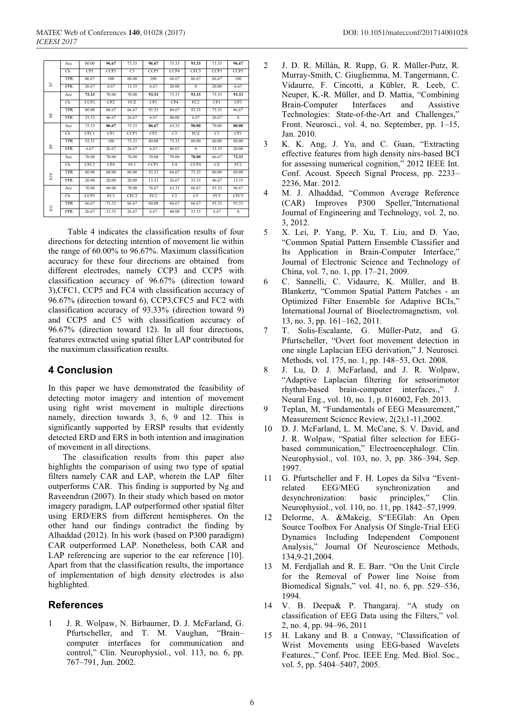|                            | Acc                    | 80.00            | 96.67      | 73.33            | 96.67           | 73.33          | 93.33           | 73.33           | 96.67           |
|----------------------------|------------------------|------------------|------------|------------------|-----------------|----------------|-----------------|-----------------|-----------------|
|                            | Ch                     | CP5              | CCP5       | C <sub>3</sub>   | CCP5            | CCP4           | CFC5            | CCP3            | CCP5            |
|                            | <b>TPR</b>             | 86.67            | 100        | 60.00            | 100             | 66.67          | 86.67           | 66.67           | 100             |
| S7                         | <b>FPR</b>             | 26.67            | 6.67       | 13.33            | 6.67            | 20.00          | $\overline{0}$  | 20.00           | 6.67            |
|                            | Acc                    | 73.33            | 70.00      | 70.00            | 93.33           | 73.33          | 93.33           | 73.33           | 93.33           |
|                            | Ch                     | CCP <sub>2</sub> | CP2        | FCZ              | <b>CP1</b>      | CP4            | FC <sub>2</sub> | CP <sub>1</sub> | CP3             |
|                            | <b>TPR</b>             | 80.00            | 86.67      | 66.67            | 93.33           | 86.67          | 93.33           | 73.33           | 86.67           |
| $^{8}$                     | <b>FPR</b>             | 33.33            | 46.67      | 26.67            | 6.67            | 40.00          | 6.67            | 26.67           | $\theta$        |
|                            | Acc                    | 73.33            | 86.67      | 73.33            | 86.67           | 63.33          | 90.00           | 70.00           | 80.00           |
|                            | $\mathbb{C}\mathrm{h}$ | CFC1             | <b>CPI</b> | <b>CCP1</b>      | CP2             | C <sub>3</sub> | FCZ             | C <sub>3</sub>  | <b>CP1</b>      |
|                            | <b>TPR</b>             | 53.33            | 100        | 73.33            | 80.00           | 73.33          | 80.00           | 60.00           | 80.00           |
| $\boldsymbol{\mathcal{S}}$ | <b>FPR</b>             | 6.67             | 26.67      | 26.67            | 6.67            | 46.67          | $\Omega$        | 13.33           | 20.00           |
|                            | Acc                    | 70.00            | 70.00      | 70.00            | 70.00           | 70.00          | 70.00           | 66.67           | 73.33           |
|                            | Ch                     | CFC <sub>2</sub> | CP4        | FC1              | CCP1            | C4             | CCP4            | CZ.             | FC <sub>2</sub> |
| S10                        | <b>TPR</b>             | 60.00            | 60.00      | 60.00            | 53.33           | 66.67          | 73.33           | 80.00           | 60.00           |
|                            | <b>FPR</b>             | 20.00            | 20.00      | 20.00            | 13.33           | 26.67          | 33.33           | 46.67           | 13.33           |
|                            | Acc                    | 70.00            | 80.00      | 70.00            | 76.67           | 63.33          | 66.67           | 93.33           | 96.67           |
|                            | $\mathbb{C}\mathrm{h}$ | CCP5             | FC3        | CFC <sub>2</sub> | FC <sub>2</sub> | C <sub>2</sub> | C <sub>5</sub>  | FC5             | CFC5            |
|                            | <b>TPR</b>             | 66.67            | 73.33      | 66.67            | 60.00           | 66.67          | 66.67           | 93.33           | 93.33           |
| $\overline{5}$             | <b>FPR</b>             | 26.67            | 13.33      | 26.67            | 6.67            | 40.00          | 33.33           | 6.67            | $\bf{0}$        |

Table 4 indicates the classification results of four directions for detecting intention of movement lie within the range of 60.00% to 96.67%. Maximum classification accuracy for these four directions are obtained from different electrodes, namely CCP3 and CCP5 with classification accuracy of 96.67% (direction toward 3),CFC1, CCP5 and FC4 with classification accuracy of 96.67% (direction toward 6), CCP3,CFC5 and FC2 with classification accuracy of 93.33% (direction toward 9) and CCP5 and C5 with classification accuracy of 96.67% (direction toward 12). In all four directions, features extracted using spatial filter LAP contributed for the maximum classification results.

## **4 Conclusion**

In this paper we have demonstrated the feasibility of detecting motor imagery and intention of movement using right wrist movement in multiple directions namely, direction towards 3, 6, 9 and 12. This is significantly supported by ERSP results that evidently detected ERD and ERS in both intention and imagination of movement in all directions.

 The classification results from this paper also highlights the comparison of using two type of spatial filters namely CAR and LAP, wherein the LAP filter outperforms CAR. This finding is supported by Ng and Raveendran (2007). In their study which based on motor imagery paradigm, LAP outperformed other spatial filter using ERD/ERS from different hemispheres. On the other hand our findings contradict the finding by Alhaddad (2012). In his work (based on P300 paradigm) CAR outperformed LAP. Nonetheless, both CAR and LAP referencing are superior to the ear reference [10]. Apart from that the classification results, the importance of implementation of high density electrodes is also highlighted.

# **References**

1 J. R. Wolpaw, N. Birbaumer, D. J. McFarland, G. Pfurtscheller, and T. M. Vaughan, "Brain– computer interfaces for communication and control," Clin. Neurophysiol., vol. 113, no. 6, pp. 767–791, Jun. 2002.

- 2 J. D. R. Millán, R. Rupp, G. R. Müller-Putz, R. Murray-Smith, C. Giugliemma, M. Tangermann, C. Vidaurre, F. Cincotti, a Kübler, R. Leeb, C. Neuper, K.-R. Müller, and D. Mattia, "Combining Brain-Computer Interfaces and Assistive Technologies: State-of-the-Art and Challenges," Front. Neurosci., vol. 4, no. September, pp. 1–15, Jan. 2010.
- 3 K. K. Ang, J. Yu, and C. Guan, "Extracting effective features from high density nirs-based BCI for assessing numerical cognition," 2012 IEEE Int. Conf. Acoust. Speech Signal Process, pp. 2233– 2236, Mar. 2012.
- 4 M. J. Alhaddad, "Common Average Reference (CAR) Improves P300 Speller,"International Journal of Engineering and Technology, vol. 2, no. 3, 2012.
- 5 X. Lei, P. Yang, P. Xu, T. Liu, and D. Yao, "Common Spatial Pattern Ensemble Classifier and Its Application in Brain-Computer Interface," Journal of Electronic Science and Technology of China, vol. 7, no. 1, pp. 17–21, 2009.
- 6 C. Sannelli, C. Vidaurre, K. Müller, and B. Blankertz, "Common Spatial Pattern Patches - an Optimized Filter Ensemble for Adaptive BCIs," International Journal of Bioelectromagnetism, vol. 13, no. 3, pp. 161–162, 2011.
- 7 T. Solis-Escalante, G. Müller-Putz, and G. Pfurtscheller, "Overt foot movement detection in one single Laplacian EEG derivation," J. Neurosci. Methods, vol. 175, no. 1, pp. 148–53, Oct. 2008.
- 8 J. Lu, D. J. McFarland, and J. R. Wolpaw, "Adaptive Laplacian filtering for sensorimotor rhythm-based brain-computer interfaces.," J. Neural Eng., vol. 10, no. 1, p. 016002, Feb. 2013.
- 9 Teplan, M, "Fundamentals of EEG Measurement," Measurement Science Review, 2(2),1-11,2002.
- 10 D. J. McFarland, L. M. McCane, S. V. David, and J. R. Wolpaw, "Spatial filter selection for EEGbased communication," Electroencephalogr. Clin. Neurophysiol., vol. 103, no. 3, pp. 386–394, Sep. 1997.
- 11 G. Pfurtscheller and F. H. Lopes da Silva "Eventrelated EEG/MEG synchronization and desynchronization: basic principles," Clin. Neurophysiol., vol. 110, no. 11, pp. 1842–57,1999.
- 12 Delorme, A. &Makeig, S"EEGlab: An Open Source Toolbox For Analysis Of Single-Trial EEG Dynamics Including Independent Component Analysis," Journal Of Neuroscience Methods, 134,9-21,2004.
- 13 M. Ferdjallah and R. E. Barr. "On the Unit Circle for the Removal of Power line Noise from Biomedical Signals," vol. 41, no. 6, pp. 529–536, 1994.
- 14 V. B. Deepa& P. Thangaraj. "A study on classification of EEG Data using the Filters," vol. 2, no. 4, pp. 94–96, 2011
- 15 H. Lakany and B. a Conway, "Classification of Wrist Movements using EEG-based Wavelets Features.," Conf. Proc. IEEE Eng. Med. Biol. Soc., vol. 5, pp. 5404–5407, 2005.